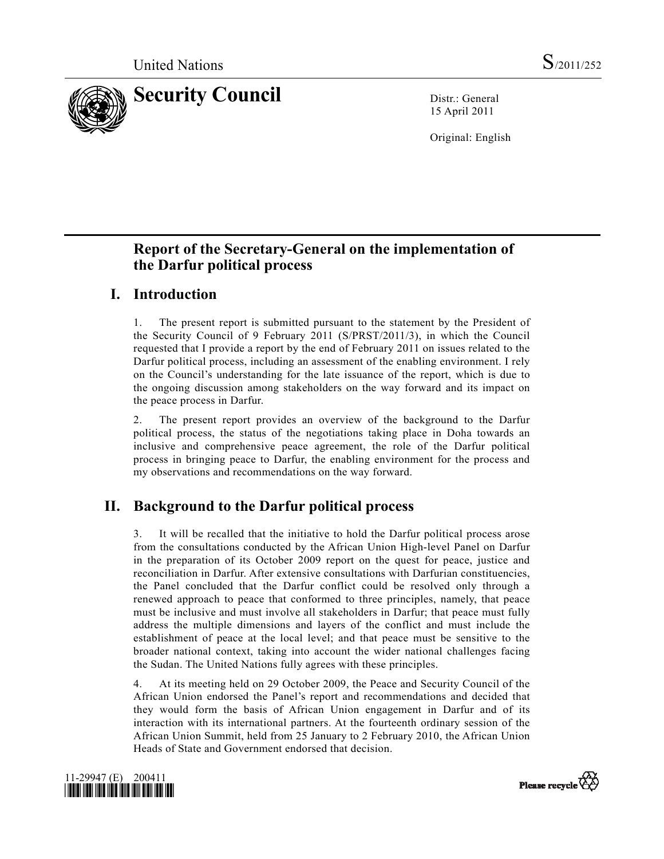

15 April 2011

Original: English

# **Report of the Secretary-General on the implementation of the Darfur political process**

## **I. Introduction**

1. The present report is submitted pursuant to the statement by the President of the Security Council of 9 February 2011 (S/PRST/2011/3), in which the Council requested that I provide a report by the end of February 2011 on issues related to the Darfur political process, including an assessment of the enabling environment. I rely on the Council's understanding for the late issuance of the report, which is due to the ongoing discussion among stakeholders on the way forward and its impact on the peace process in Darfur.

2. The present report provides an overview of the background to the Darfur political process, the status of the negotiations taking place in Doha towards an inclusive and comprehensive peace agreement, the role of the Darfur political process in bringing peace to Darfur, the enabling environment for the process and my observations and recommendations on the way forward.

# **II. Background to the Darfur political process**

3. It will be recalled that the initiative to hold the Darfur political process arose from the consultations conducted by the African Union High-level Panel on Darfur in the preparation of its October 2009 report on the quest for peace, justice and reconciliation in Darfur. After extensive consultations with Darfurian constituencies, the Panel concluded that the Darfur conflict could be resolved only through a renewed approach to peace that conformed to three principles, namely, that peace must be inclusive and must involve all stakeholders in Darfur; that peace must fully address the multiple dimensions and layers of the conflict and must include the establishment of peace at the local level; and that peace must be sensitive to the broader national context, taking into account the wider national challenges facing the Sudan. The United Nations fully agrees with these principles.

4. At its meeting held on 29 October 2009, the Peace and Security Council of the African Union endorsed the Panel's report and recommendations and decided that they would form the basis of African Union engagement in Darfur and of its interaction with its international partners. At the fourteenth ordinary session of the African Union Summit, held from 25 January to 2 February 2010, the African Union Heads of State and Government endorsed that decision.



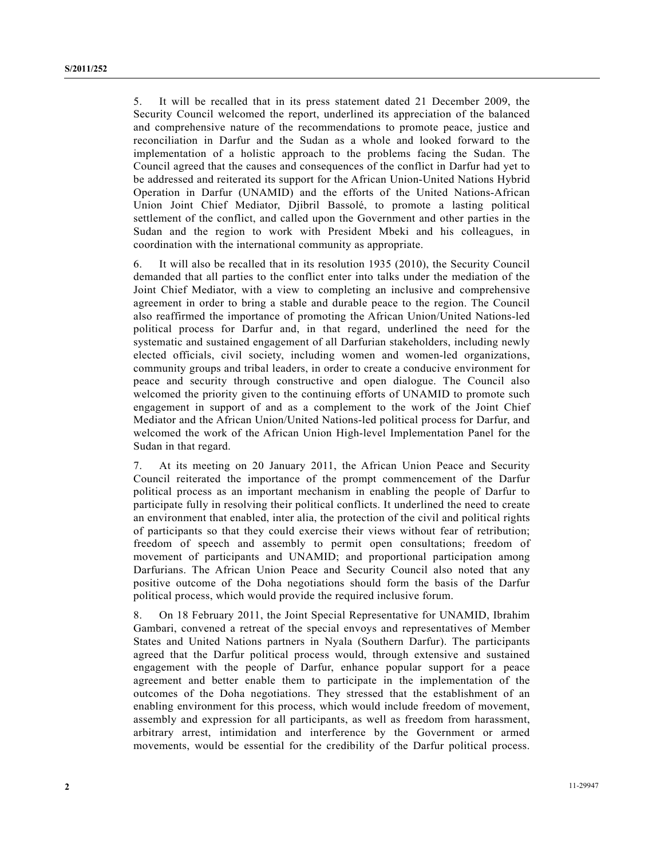5. It will be recalled that in its press statement dated 21 December 2009, the Security Council welcomed the report, underlined its appreciation of the balanced and comprehensive nature of the recommendations to promote peace, justice and reconciliation in Darfur and the Sudan as a whole and looked forward to the implementation of a holistic approach to the problems facing the Sudan. The Council agreed that the causes and consequences of the conflict in Darfur had yet to be addressed and reiterated its support for the African Union-United Nations Hybrid Operation in Darfur (UNAMID) and the efforts of the United Nations-African Union Joint Chief Mediator, Djibril Bassolé, to promote a lasting political settlement of the conflict, and called upon the Government and other parties in the Sudan and the region to work with President Mbeki and his colleagues, in coordination with the international community as appropriate.

6. It will also be recalled that in its resolution 1935 (2010), the Security Council demanded that all parties to the conflict enter into talks under the mediation of the Joint Chief Mediator, with a view to completing an inclusive and comprehensive agreement in order to bring a stable and durable peace to the region. The Council also reaffirmed the importance of promoting the African Union/United Nations-led political process for Darfur and, in that regard, underlined the need for the systematic and sustained engagement of all Darfurian stakeholders, including newly elected officials, civil society, including women and women-led organizations, community groups and tribal leaders, in order to create a conducive environment for peace and security through constructive and open dialogue. The Council also welcomed the priority given to the continuing efforts of UNAMID to promote such engagement in support of and as a complement to the work of the Joint Chief Mediator and the African Union/United Nations-led political process for Darfur, and welcomed the work of the African Union High-level Implementation Panel for the Sudan in that regard.

7. At its meeting on 20 January 2011, the African Union Peace and Security Council reiterated the importance of the prompt commencement of the Darfur political process as an important mechanism in enabling the people of Darfur to participate fully in resolving their political conflicts. It underlined the need to create an environment that enabled, inter alia, the protection of the civil and political rights of participants so that they could exercise their views without fear of retribution; freedom of speech and assembly to permit open consultations; freedom of movement of participants and UNAMID; and proportional participation among Darfurians. The African Union Peace and Security Council also noted that any positive outcome of the Doha negotiations should form the basis of the Darfur political process, which would provide the required inclusive forum.

8. On 18 February 2011, the Joint Special Representative for UNAMID, Ibrahim Gambari, convened a retreat of the special envoys and representatives of Member States and United Nations partners in Nyala (Southern Darfur). The participants agreed that the Darfur political process would, through extensive and sustained engagement with the people of Darfur, enhance popular support for a peace agreement and better enable them to participate in the implementation of the outcomes of the Doha negotiations. They stressed that the establishment of an enabling environment for this process, which would include freedom of movement, assembly and expression for all participants, as well as freedom from harassment, arbitrary arrest, intimidation and interference by the Government or armed movements, would be essential for the credibility of the Darfur political process.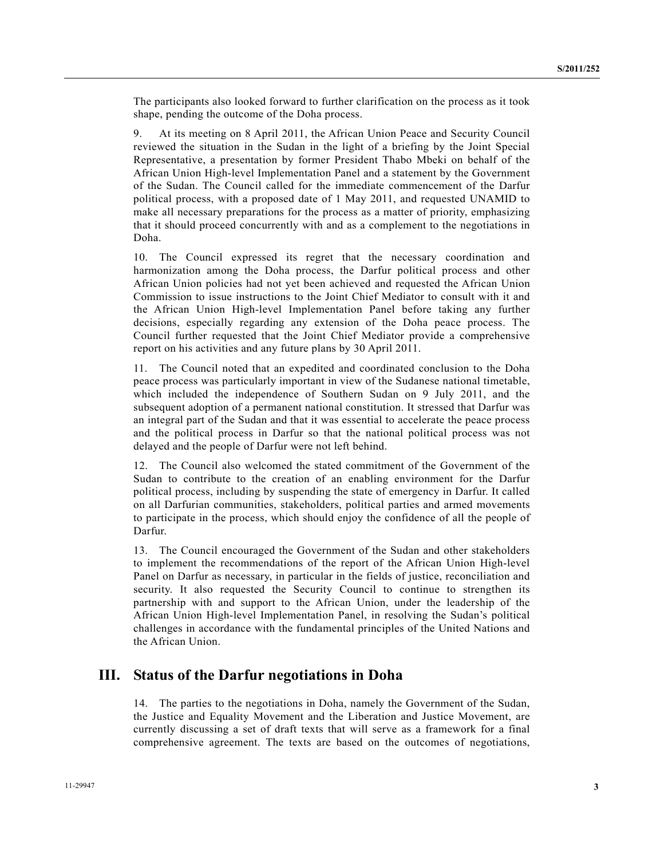The participants also looked forward to further clarification on the process as it took shape, pending the outcome of the Doha process.

9. At its meeting on 8 April 2011, the African Union Peace and Security Council reviewed the situation in the Sudan in the light of a briefing by the Joint Special Representative, a presentation by former President Thabo Mbeki on behalf of the African Union High-level Implementation Panel and a statement by the Government of the Sudan. The Council called for the immediate commencement of the Darfur political process, with a proposed date of 1 May 2011, and requested UNAMID to make all necessary preparations for the process as a matter of priority, emphasizing that it should proceed concurrently with and as a complement to the negotiations in Doha.

10. The Council expressed its regret that the necessary coordination and harmonization among the Doha process, the Darfur political process and other African Union policies had not yet been achieved and requested the African Union Commission to issue instructions to the Joint Chief Mediator to consult with it and the African Union High-level Implementation Panel before taking any further decisions, especially regarding any extension of the Doha peace process. The Council further requested that the Joint Chief Mediator provide a comprehensive report on his activities and any future plans by 30 April 2011.

11. The Council noted that an expedited and coordinated conclusion to the Doha peace process was particularly important in view of the Sudanese national timetable, which included the independence of Southern Sudan on 9 July 2011, and the subsequent adoption of a permanent national constitution. It stressed that Darfur was an integral part of the Sudan and that it was essential to accelerate the peace process and the political process in Darfur so that the national political process was not delayed and the people of Darfur were not left behind.

12. The Council also welcomed the stated commitment of the Government of the Sudan to contribute to the creation of an enabling environment for the Darfur political process, including by suspending the state of emergency in Darfur. It called on all Darfurian communities, stakeholders, political parties and armed movements to participate in the process, which should enjoy the confidence of all the people of Darfur.

13. The Council encouraged the Government of the Sudan and other stakeholders to implement the recommendations of the report of the African Union High-level Panel on Darfur as necessary, in particular in the fields of justice, reconciliation and security. It also requested the Security Council to continue to strengthen its partnership with and support to the African Union, under the leadership of the African Union High-level Implementation Panel, in resolving the Sudan's political challenges in accordance with the fundamental principles of the United Nations and the African Union.

### **III. Status of the Darfur negotiations in Doha**

14. The parties to the negotiations in Doha, namely the Government of the Sudan, the Justice and Equality Movement and the Liberation and Justice Movement, are currently discussing a set of draft texts that will serve as a framework for a final comprehensive agreement. The texts are based on the outcomes of negotiations,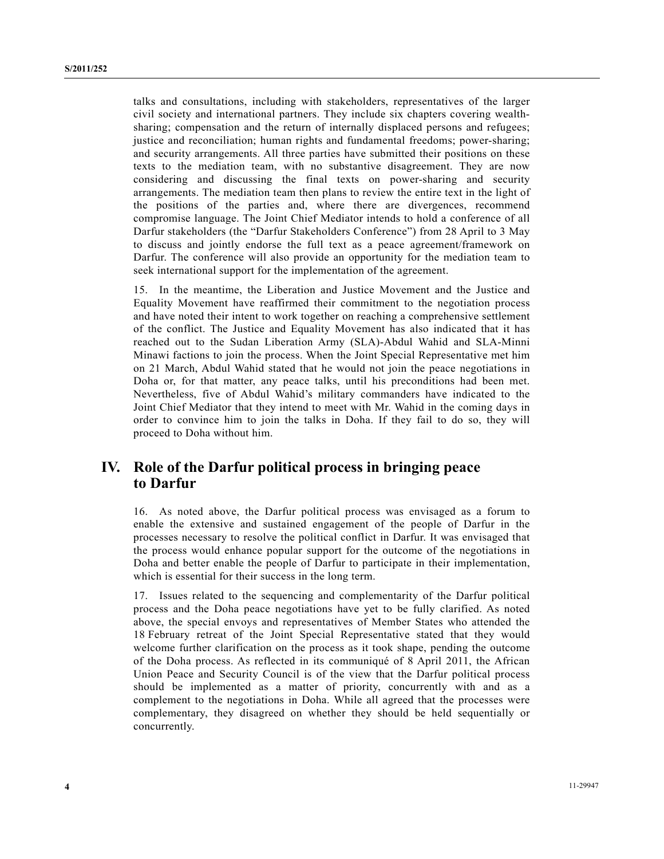talks and consultations, including with stakeholders, representatives of the larger civil society and international partners. They include six chapters covering wealthsharing; compensation and the return of internally displaced persons and refugees; justice and reconciliation; human rights and fundamental freedoms; power-sharing; and security arrangements. All three parties have submitted their positions on these texts to the mediation team, with no substantive disagreement. They are now considering and discussing the final texts on power-sharing and security arrangements. The mediation team then plans to review the entire text in the light of the positions of the parties and, where there are divergences, recommend compromise language. The Joint Chief Mediator intends to hold a conference of all Darfur stakeholders (the "Darfur Stakeholders Conference") from 28 April to 3 May to discuss and jointly endorse the full text as a peace agreement/framework on Darfur. The conference will also provide an opportunity for the mediation team to seek international support for the implementation of the agreement.

15. In the meantime, the Liberation and Justice Movement and the Justice and Equality Movement have reaffirmed their commitment to the negotiation process and have noted their intent to work together on reaching a comprehensive settlement of the conflict. The Justice and Equality Movement has also indicated that it has reached out to the Sudan Liberation Army (SLA)-Abdul Wahid and SLA-Minni Minawi factions to join the process. When the Joint Special Representative met him on 21 March, Abdul Wahid stated that he would not join the peace negotiations in Doha or, for that matter, any peace talks, until his preconditions had been met. Nevertheless, five of Abdul Wahid's military commanders have indicated to the Joint Chief Mediator that they intend to meet with Mr. Wahid in the coming days in order to convince him to join the talks in Doha. If they fail to do so, they will proceed to Doha without him.

## **IV. Role of the Darfur political process in bringing peace to Darfur**

16. As noted above, the Darfur political process was envisaged as a forum to enable the extensive and sustained engagement of the people of Darfur in the processes necessary to resolve the political conflict in Darfur. It was envisaged that the process would enhance popular support for the outcome of the negotiations in Doha and better enable the people of Darfur to participate in their implementation, which is essential for their success in the long term.

17. Issues related to the sequencing and complementarity of the Darfur political process and the Doha peace negotiations have yet to be fully clarified. As noted above, the special envoys and representatives of Member States who attended the 18 February retreat of the Joint Special Representative stated that they would welcome further clarification on the process as it took shape, pending the outcome of the Doha process. As reflected in its communiqué of 8 April 2011, the African Union Peace and Security Council is of the view that the Darfur political process should be implemented as a matter of priority, concurrently with and as a complement to the negotiations in Doha. While all agreed that the processes were complementary, they disagreed on whether they should be held sequentially or concurrently.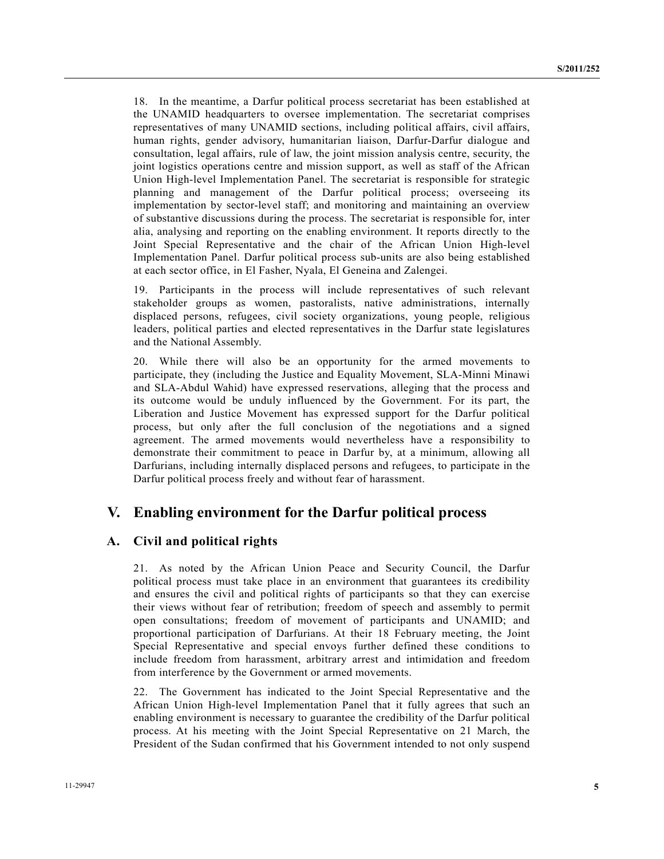18. In the meantime, a Darfur political process secretariat has been established at the UNAMID headquarters to oversee implementation. The secretariat comprises representatives of many UNAMID sections, including political affairs, civil affairs, human rights, gender advisory, humanitarian liaison, Darfur-Darfur dialogue and consultation, legal affairs, rule of law, the joint mission analysis centre, security, the joint logistics operations centre and mission support, as well as staff of the African Union High-level Implementation Panel. The secretariat is responsible for strategic planning and management of the Darfur political process; overseeing its implementation by sector-level staff; and monitoring and maintaining an overview of substantive discussions during the process. The secretariat is responsible for, inter alia, analysing and reporting on the enabling environment. It reports directly to the Joint Special Representative and the chair of the African Union High-level Implementation Panel. Darfur political process sub-units are also being established at each sector office, in El Fasher, Nyala, El Geneina and Zalengei.

19. Participants in the process will include representatives of such relevant stakeholder groups as women, pastoralists, native administrations, internally displaced persons, refugees, civil society organizations, young people, religious leaders, political parties and elected representatives in the Darfur state legislatures and the National Assembly.

20. While there will also be an opportunity for the armed movements to participate, they (including the Justice and Equality Movement, SLA-Minni Minawi and SLA-Abdul Wahid) have expressed reservations, alleging that the process and its outcome would be unduly influenced by the Government. For its part, the Liberation and Justice Movement has expressed support for the Darfur political process, but only after the full conclusion of the negotiations and a signed agreement. The armed movements would nevertheless have a responsibility to demonstrate their commitment to peace in Darfur by, at a minimum, allowing all Darfurians, including internally displaced persons and refugees, to participate in the Darfur political process freely and without fear of harassment.

### **V. Enabling environment for the Darfur political process**

#### **A. Civil and political rights**

21. As noted by the African Union Peace and Security Council, the Darfur political process must take place in an environment that guarantees its credibility and ensures the civil and political rights of participants so that they can exercise their views without fear of retribution; freedom of speech and assembly to permit open consultations; freedom of movement of participants and UNAMID; and proportional participation of Darfurians. At their 18 February meeting, the Joint Special Representative and special envoys further defined these conditions to include freedom from harassment, arbitrary arrest and intimidation and freedom from interference by the Government or armed movements.

22. The Government has indicated to the Joint Special Representative and the African Union High-level Implementation Panel that it fully agrees that such an enabling environment is necessary to guarantee the credibility of the Darfur political process. At his meeting with the Joint Special Representative on 21 March, the President of the Sudan confirmed that his Government intended to not only suspend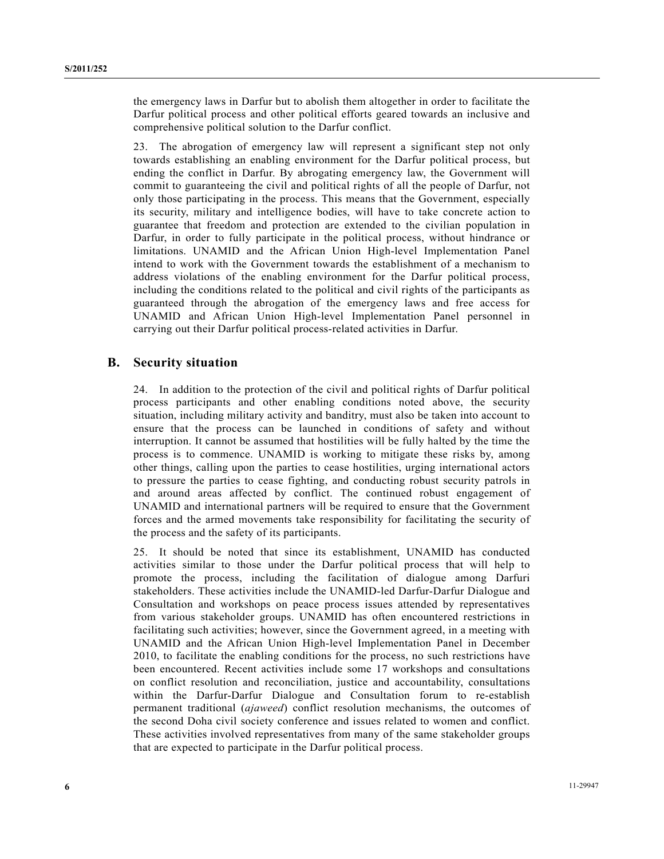the emergency laws in Darfur but to abolish them altogether in order to facilitate the Darfur political process and other political efforts geared towards an inclusive and comprehensive political solution to the Darfur conflict.

23. The abrogation of emergency law will represent a significant step not only towards establishing an enabling environment for the Darfur political process, but ending the conflict in Darfur. By abrogating emergency law, the Government will commit to guaranteeing the civil and political rights of all the people of Darfur, not only those participating in the process. This means that the Government, especially its security, military and intelligence bodies, will have to take concrete action to guarantee that freedom and protection are extended to the civilian population in Darfur, in order to fully participate in the political process, without hindrance or limitations. UNAMID and the African Union High-level Implementation Panel intend to work with the Government towards the establishment of a mechanism to address violations of the enabling environment for the Darfur political process, including the conditions related to the political and civil rights of the participants as guaranteed through the abrogation of the emergency laws and free access for UNAMID and African Union High-level Implementation Panel personnel in carrying out their Darfur political process-related activities in Darfur.

#### **B. Security situation**

24. In addition to the protection of the civil and political rights of Darfur political process participants and other enabling conditions noted above, the security situation, including military activity and banditry, must also be taken into account to ensure that the process can be launched in conditions of safety and without interruption. It cannot be assumed that hostilities will be fully halted by the time the process is to commence. UNAMID is working to mitigate these risks by, among other things, calling upon the parties to cease hostilities, urging international actors to pressure the parties to cease fighting, and conducting robust security patrols in and around areas affected by conflict. The continued robust engagement of UNAMID and international partners will be required to ensure that the Government forces and the armed movements take responsibility for facilitating the security of the process and the safety of its participants.

25. It should be noted that since its establishment, UNAMID has conducted activities similar to those under the Darfur political process that will help to promote the process, including the facilitation of dialogue among Darfuri stakeholders. These activities include the UNAMID-led Darfur-Darfur Dialogue and Consultation and workshops on peace process issues attended by representatives from various stakeholder groups. UNAMID has often encountered restrictions in facilitating such activities; however, since the Government agreed, in a meeting with UNAMID and the African Union High-level Implementation Panel in December 2010, to facilitate the enabling conditions for the process, no such restrictions have been encountered. Recent activities include some 17 workshops and consultations on conflict resolution and reconciliation, justice and accountability, consultations within the Darfur-Darfur Dialogue and Consultation forum to re-establish permanent traditional (*ajaweed*) conflict resolution mechanisms, the outcomes of the second Doha civil society conference and issues related to women and conflict. These activities involved representatives from many of the same stakeholder groups that are expected to participate in the Darfur political process.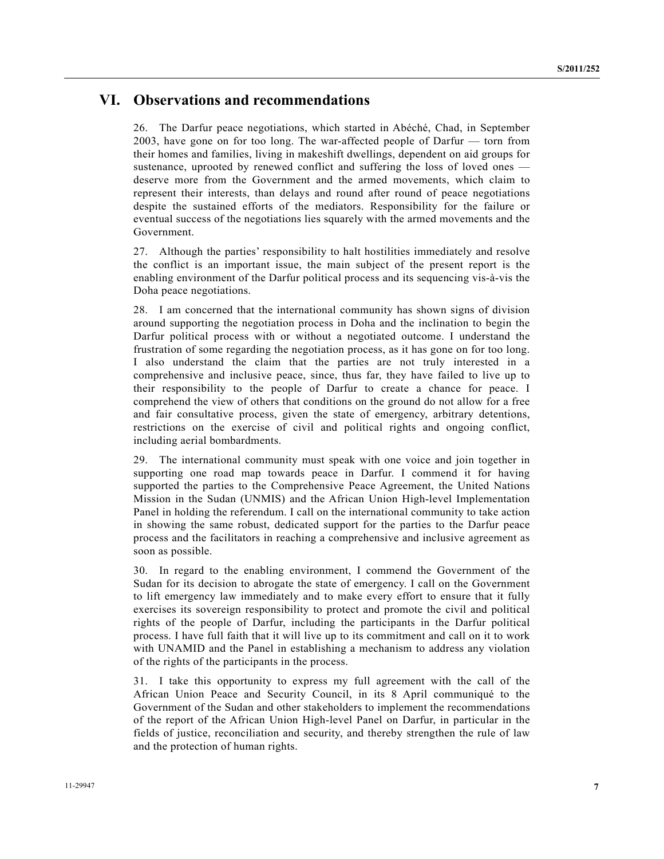#### **VI. Observations and recommendations**

26. The Darfur peace negotiations, which started in Abéché, Chad, in September 2003, have gone on for too long. The war-affected people of Darfur — torn from their homes and families, living in makeshift dwellings, dependent on aid groups for sustenance, uprooted by renewed conflict and suffering the loss of loved ones deserve more from the Government and the armed movements, which claim to represent their interests, than delays and round after round of peace negotiations despite the sustained efforts of the mediators. Responsibility for the failure or eventual success of the negotiations lies squarely with the armed movements and the Government.

27. Although the parties' responsibility to halt hostilities immediately and resolve the conflict is an important issue, the main subject of the present report is the enabling environment of the Darfur political process and its sequencing vis-à-vis the Doha peace negotiations.

28. I am concerned that the international community has shown signs of division around supporting the negotiation process in Doha and the inclination to begin the Darfur political process with or without a negotiated outcome. I understand the frustration of some regarding the negotiation process, as it has gone on for too long. I also understand the claim that the parties are not truly interested in a comprehensive and inclusive peace, since, thus far, they have failed to live up to their responsibility to the people of Darfur to create a chance for peace. I comprehend the view of others that conditions on the ground do not allow for a free and fair consultative process, given the state of emergency, arbitrary detentions, restrictions on the exercise of civil and political rights and ongoing conflict, including aerial bombardments.

29. The international community must speak with one voice and join together in supporting one road map towards peace in Darfur. I commend it for having supported the parties to the Comprehensive Peace Agreement, the United Nations Mission in the Sudan (UNMIS) and the African Union High-level Implementation Panel in holding the referendum. I call on the international community to take action in showing the same robust, dedicated support for the parties to the Darfur peace process and the facilitators in reaching a comprehensive and inclusive agreement as soon as possible.

30. In regard to the enabling environment, I commend the Government of the Sudan for its decision to abrogate the state of emergency. I call on the Government to lift emergency law immediately and to make every effort to ensure that it fully exercises its sovereign responsibility to protect and promote the civil and political rights of the people of Darfur, including the participants in the Darfur political process. I have full faith that it will live up to its commitment and call on it to work with UNAMID and the Panel in establishing a mechanism to address any violation of the rights of the participants in the process.

31. I take this opportunity to express my full agreement with the call of the African Union Peace and Security Council, in its 8 April communiqué to the Government of the Sudan and other stakeholders to implement the recommendations of the report of the African Union High-level Panel on Darfur, in particular in the fields of justice, reconciliation and security, and thereby strengthen the rule of law and the protection of human rights.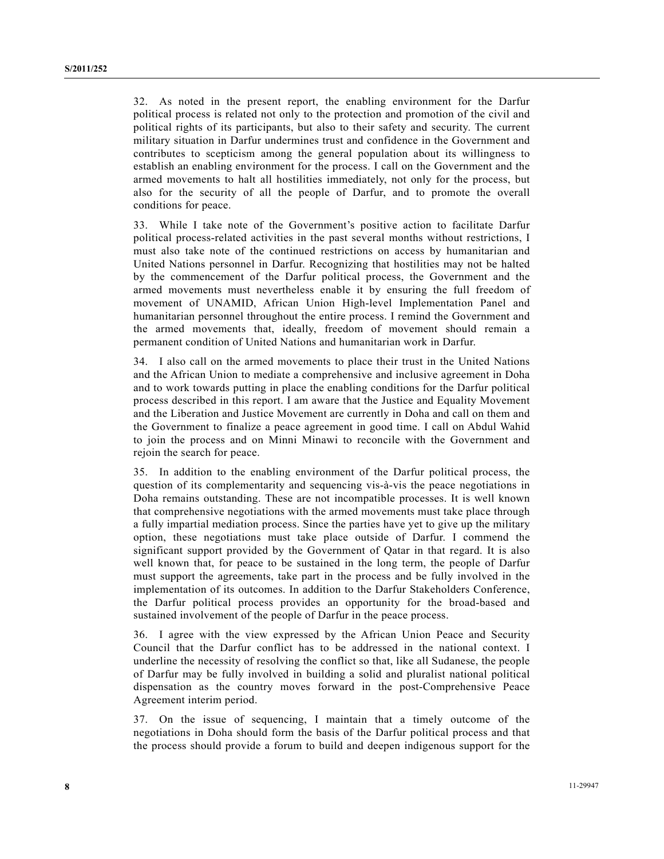32. As noted in the present report, the enabling environment for the Darfur political process is related not only to the protection and promotion of the civil and political rights of its participants, but also to their safety and security. The current military situation in Darfur undermines trust and confidence in the Government and contributes to scepticism among the general population about its willingness to establish an enabling environment for the process. I call on the Government and the armed movements to halt all hostilities immediately, not only for the process, but also for the security of all the people of Darfur, and to promote the overall conditions for peace.

33. While I take note of the Government's positive action to facilitate Darfur political process-related activities in the past several months without restrictions, I must also take note of the continued restrictions on access by humanitarian and United Nations personnel in Darfur. Recognizing that hostilities may not be halted by the commencement of the Darfur political process, the Government and the armed movements must nevertheless enable it by ensuring the full freedom of movement of UNAMID, African Union High-level Implementation Panel and humanitarian personnel throughout the entire process. I remind the Government and the armed movements that, ideally, freedom of movement should remain a permanent condition of United Nations and humanitarian work in Darfur.

34. I also call on the armed movements to place their trust in the United Nations and the African Union to mediate a comprehensive and inclusive agreement in Doha and to work towards putting in place the enabling conditions for the Darfur political process described in this report. I am aware that the Justice and Equality Movement and the Liberation and Justice Movement are currently in Doha and call on them and the Government to finalize a peace agreement in good time. I call on Abdul Wahid to join the process and on Minni Minawi to reconcile with the Government and rejoin the search for peace.

35. In addition to the enabling environment of the Darfur political process, the question of its complementarity and sequencing vis-à-vis the peace negotiations in Doha remains outstanding. These are not incompatible processes. It is well known that comprehensive negotiations with the armed movements must take place through a fully impartial mediation process. Since the parties have yet to give up the military option, these negotiations must take place outside of Darfur. I commend the significant support provided by the Government of Qatar in that regard. It is also well known that, for peace to be sustained in the long term, the people of Darfur must support the agreements, take part in the process and be fully involved in the implementation of its outcomes. In addition to the Darfur Stakeholders Conference, the Darfur political process provides an opportunity for the broad-based and sustained involvement of the people of Darfur in the peace process.

36. I agree with the view expressed by the African Union Peace and Security Council that the Darfur conflict has to be addressed in the national context. I underline the necessity of resolving the conflict so that, like all Sudanese, the people of Darfur may be fully involved in building a solid and pluralist national political dispensation as the country moves forward in the post-Comprehensive Peace Agreement interim period.

37. On the issue of sequencing, I maintain that a timely outcome of the negotiations in Doha should form the basis of the Darfur political process and that the process should provide a forum to build and deepen indigenous support for the